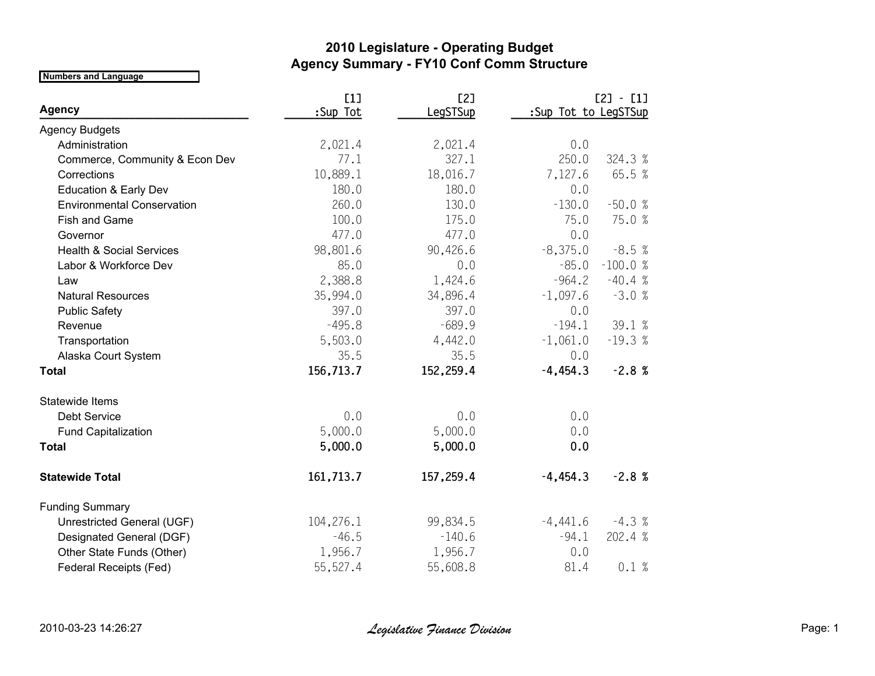## **2010 Legislature - Operating Budget Agency Summary - FY10 Conf Comm Structure**

**Numbers and Language**

|                                     | [1]       | [2]       |                      | $[2] - [1]$ |
|-------------------------------------|-----------|-----------|----------------------|-------------|
| <b>Agency</b>                       | :Sup Tot  | LegSTSup  | :Sup Tot to LegSTSup |             |
| <b>Agency Budgets</b>               |           |           |                      |             |
| Administration                      | 2,021.4   | 2,021.4   | 0.0                  |             |
| Commerce, Community & Econ Dev      | 77.1      | 327.1     | 250.0                | 324.3 %     |
| Corrections                         | 10,889.1  | 18,016.7  | 7,127.6              | 65.5 %      |
| <b>Education &amp; Early Dev</b>    | 180.0     | 180.0     | 0.0                  |             |
| <b>Environmental Conservation</b>   | 260.0     | 130.0     | $-130.0$             | $-50.0%$    |
| Fish and Game                       | 100.0     | 175.0     | 75.0                 | 75.0 %      |
| Governor                            | 477.0     | 477.0     | 0.0                  |             |
| <b>Health &amp; Social Services</b> | 98,801.6  | 90,426.6  | $-8,375.0$           | $-8.5%$     |
| Labor & Workforce Dev               | 85.0      | 0.0       | $-85.0$              | $-100.0%$   |
| Law                                 | 2,388.8   | 1,424.6   | $-964.2$             | $-40.4%$    |
| <b>Natural Resources</b>            | 35,994.0  | 34,896.4  | $-1,097.6$           | $-3.0%$     |
| <b>Public Safety</b>                | 397.0     | 397.0     | 0.0                  |             |
| Revenue                             | $-495.8$  | $-689.9$  | $-194.1$             | 39.1 %      |
| Transportation                      | 5,503.0   | 4,442.0   | $-1,061.0$           | $-19.3%$    |
| Alaska Court System                 | 35.5      | 35.5      | 0.0                  |             |
| <b>Total</b>                        | 156,713.7 | 152,259.4 | $-4,454.3$           | $-2.8%$     |
| Statewide Items                     |           |           |                      |             |
| Debt Service                        | 0.0       | 0.0       | 0.0                  |             |
| <b>Fund Capitalization</b>          | 5,000.0   | 5,000.0   | 0.0                  |             |
| <b>Total</b>                        | 5,000.0   | 5,000.0   | 0.0                  |             |
| <b>Statewide Total</b>              | 161,713.7 | 157,259.4 | $-4,454.3$           | $-2.8%$     |
| <b>Funding Summary</b>              |           |           |                      |             |
| Unrestricted General (UGF)          | 104,276.1 | 99,834.5  | $-4,441.6$           | $-4.3%$     |
| Designated General (DGF)            | $-46.5$   | $-140.6$  | $-94.1$              | 202.4 %     |
| Other State Funds (Other)           | 1,956.7   | 1,956.7   | 0.0                  |             |
| <b>Federal Receipts (Fed)</b>       | 55,527.4  | 55,608.8  | 81.4                 | 0.1%        |